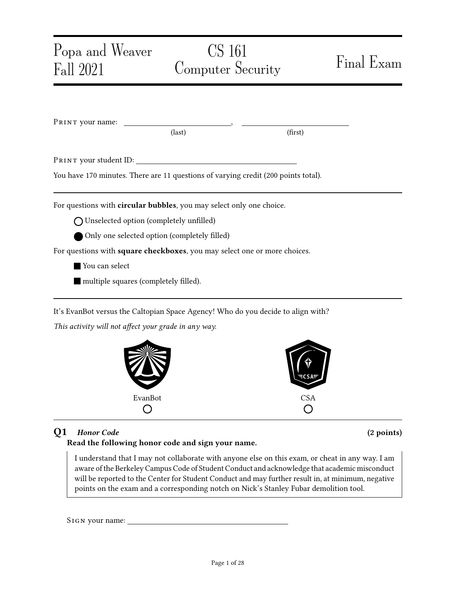| Popa and Weaver<br>Fall 2021                                                       | CS 161<br>Computer Security |                                                                                  | Final Exam |  |
|------------------------------------------------------------------------------------|-----------------------------|----------------------------------------------------------------------------------|------------|--|
|                                                                                    |                             |                                                                                  |            |  |
|                                                                                    |                             |                                                                                  |            |  |
|                                                                                    |                             |                                                                                  |            |  |
|                                                                                    | $\text{(last)}$             | (first)                                                                          |            |  |
|                                                                                    |                             |                                                                                  |            |  |
| You have 170 minutes. There are 11 questions of varying credit (200 points total). |                             |                                                                                  |            |  |
|                                                                                    |                             |                                                                                  |            |  |
| For questions with circular bubbles, you may select only one choice.               |                             |                                                                                  |            |  |
| ◯ Unselected option (completely unfilled)                                          |                             |                                                                                  |            |  |
| Only one selected option (completely filled)                                       |                             |                                                                                  |            |  |
| For questions with square checkboxes, you may select one or more choices.          |                             |                                                                                  |            |  |
| You can select                                                                     |                             |                                                                                  |            |  |
| multiple squares (completely filled).                                              |                             |                                                                                  |            |  |
|                                                                                    |                             | It's EvanBot versus the Caltopian Space Agency! Who do you decide to align with? |            |  |
| This activity will not affect your grade in any way.                               |                             |                                                                                  |            |  |



## Q1 Honor Code (2 points)

## Read the following honor code and sign your name.

I understand that I may not collaborate with anyone else on this exam, or cheat in any way. I am aware of the Berkeley Campus Code of Student Conduct and acknowledge that academic misconduct will be reported to the Center for Student Conduct and may further result in, at minimum, negative points on the exam and a corresponding notch on Nick's Stanley Fubar demolition tool.

SIGN your name: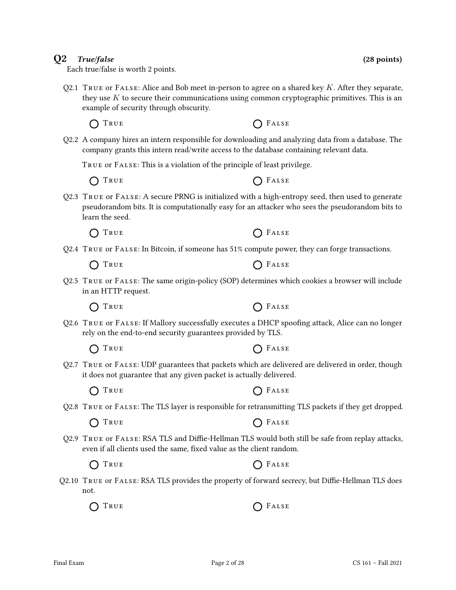### they use  $K$  to secure their communications using common cryptographic primitives. This is an example of security through obscurity.

Q2.2 A company hires an intern responsible for downloading and analyzing data from a database. The company grants this intern read/write access to the database containing relevant data.

Q2.1 TRUE or FALSE: Alice and Bob meet in-person to agree on a shared key K. After they separate,

True or False: This is a violation of the principle of least privilege.

 $\bigcap$  True  $\bigcap$  False

 $\bigcap$  True  $\bigcap$  False

Each true/false is worth 2 points.

- Q2.3 True or False: A secure PRNG is initialized with a high-entropy seed, then used to generate pseudorandom bits. It is computationally easy for an attacker who sees the pseudorandom bits to learn the seed.
	- $\bigcap$  True  $\bigcap$  False
- Q2.4 True or False: In Bitcoin, if someone has 51% compute power, they can forge transactions.

 $\bigcap$  True  $\bigcap$  False

Q2.5 True or False: The same origin-policy (SOP) determines which cookies a browser will include in an HTTP request.

 $\bigcap$  True  $\bigcap$  False

- Q2.6 True or False: If Mallory successfully executes a DHCP spoofing attack, Alice can no longer rely on the end-to-end security guarantees provided by TLS.
	- $\bigcap$  True  $\bigcap$  False
- Q2.7 True or False: UDP guarantees that packets which are delivered are delivered in order, though it does not guarantee that any given packet is actually delivered.
	- $\bigcap$  True  $\bigcap$  False
- Q2.8 True or False: The TLS layer is responsible for retransmitting TLS packets if they get dropped.

 $\bigcap$  True  $\bigcap$  False

Q2.9 True or False: RSA TLS and Diffie-Hellman TLS would both still be safe from replay attacks, even if all clients used the same, fixed value as the client random.

Q2.10 True or False: RSA TLS provides the property of forward secrecy, but Diffie-Hellman TLS does not.

 $\bigcap$  True  $\bigcap$  False





 $\bigcap$  True  $\bigcap$  False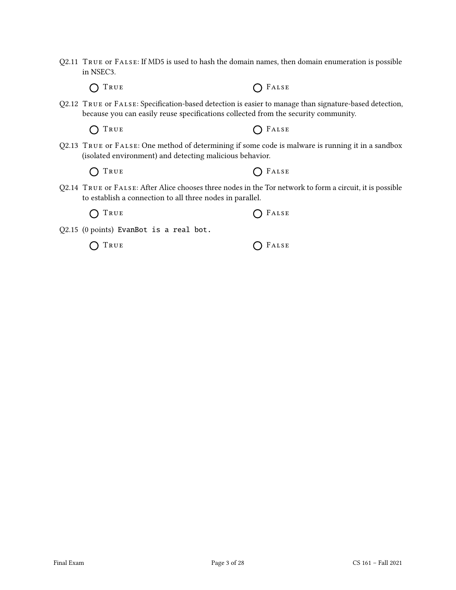Q2.11 True or False: If MD5 is used to hash the domain names, then domain enumeration is possible in NSEC3.

True False

Q2.12 True or False: Specification-based detection is easier to manage than signature-based detection, because you can easily reuse specifications collected from the security community.

True False

Q2.13 True or False: One method of determining if some code is malware is running it in a sandbox (isolated environment) and detecting malicious behavior.

 $\bigcap$  True  $\bigcap$  False

Q2.14 True or False: After Alice chooses three nodes in the Tor network to form a circuit, it is possible to establish a connection to all three nodes in parallel.

| O TRUE | $O$ FALSE |
|--------|-----------|
|--------|-----------|

Q2.15 (0 points) EvanBot is a real bot.

 $\bigcap$  True  $\bigcap$  False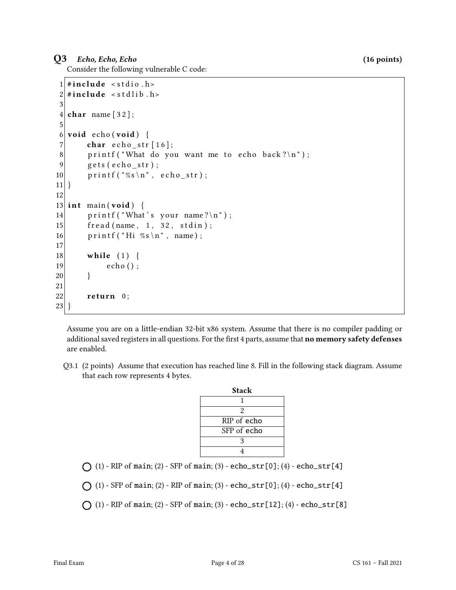### Q3 Echo, Echo, Echo (16 points)

Consider the following vulnerable C code:

```
1 \#include < stdio . h>
 2 \mid \# \text{include} \leq stdlib.h>
 3
 4 char name [32];
 5
6 void echo (void) {
 7 char e cho str \lceil 16 \rceil;
8 printf ("What do you want me to echo back?\n");
9 \qquad \text{gets } ( \text{echo\_str} );10 \vert printf ("%s\n", echo_str);
11}
12
13 int main (void) {
14 printf ("What's your name?\n");
15 fread (name, 1, 32, stdin);
16 printf ("Hi %s\n", name);
17
18 while (1) {
19 echo ();
20 }
21
22 return 0;
23 }
```
Assume you are on a little-endian 32-bit x86 system. Assume that there is no compiler padding or additional saved registers in all questions. For the first 4 parts, assume that no memory safety defenses are enabled.

Q3.1 (2 points) Assume that execution has reached line 8. Fill in the following stack diagram. Assume that each row represents 4 bytes.

|                                                                                      | <b>Stack</b> |  |
|--------------------------------------------------------------------------------------|--------------|--|
|                                                                                      |              |  |
|                                                                                      |              |  |
|                                                                                      | RIP of echo  |  |
|                                                                                      | SFP of echo  |  |
|                                                                                      |              |  |
|                                                                                      |              |  |
| $\bigcap$ (1) - RIP of main; (2) - SFP of main; (3) - echo_str[0]; (4) - echo_str[4] |              |  |

```
\bigcap (1) - SFP of main; (2) - RIP of main; (3) - echo_str[0]; (4) - echo_str[4]
```
 $\bigcap$  (1) - RIP of main; (2) - SFP of main; (3) - echo\_str[12]; (4) - echo\_str[8]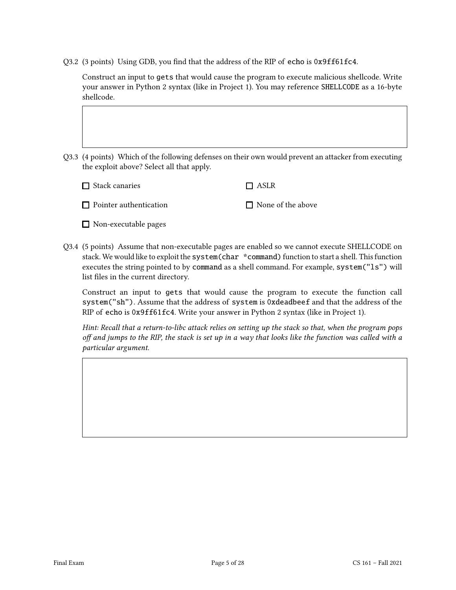Q3.2 (3 points) Using GDB, you find that the address of the RIP of echo is 0x9ff61fc4.

Construct an input to gets that would cause the program to execute malicious shellcode. Write your answer in Python 2 syntax (like in Project 1). You may reference SHELLCODE as a 16-byte shellcode.

Q3.3 (4 points) Which of the following defenses on their own would prevent an attacker from executing the exploit above? Select all that apply.

above

| $\Box$ Stack canaries         | $\Box$ ASLR        |
|-------------------------------|--------------------|
| $\Box$ Pointer authentication | $\Box$ None of the |

- Non-executable pages
- Q3.4 (5 points) Assume that non-executable pages are enabled so we cannot execute SHELLCODE on stack. We would like to exploit the system(char \*command) function to start a shell. This function executes the string pointed to by command as a shell command. For example, system("ls") will list files in the current directory.

Construct an input to gets that would cause the program to execute the function call system("sh"). Assume that the address of system is 0xdeadbeef and that the address of the RIP of echo is 0x9ff61fc4. Write your answer in Python 2 syntax (like in Project 1).

Hint: Recall that a return-to-libc attack relies on setting up the stack so that, when the program pops off and jumps to the RIP, the stack is set up in a way that looks like the function was called with a particular argument.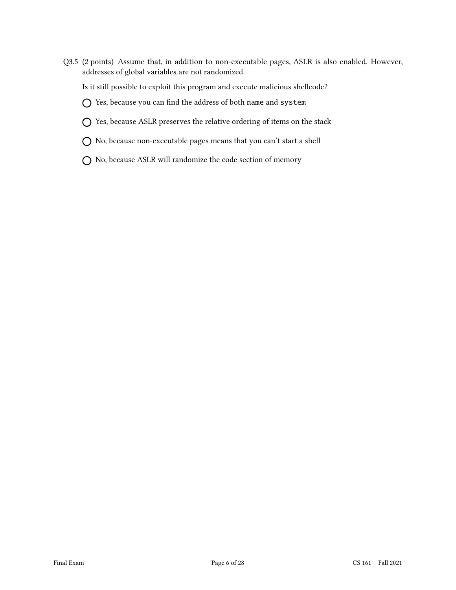Q3.5 (2 points) Assume that, in addition to non-executable pages, ASLR is also enabled. However, addresses of global variables are not randomized.

Is it still possible to exploit this program and execute malicious shellcode?

 $O$  Yes, because you can find the address of both name and system

- $\bigcap$  Yes, because ASLR preserves the relative ordering of items on the stack
- No, because non-executable pages means that you can't start a shell
- No, because ASLR will randomize the code section of memory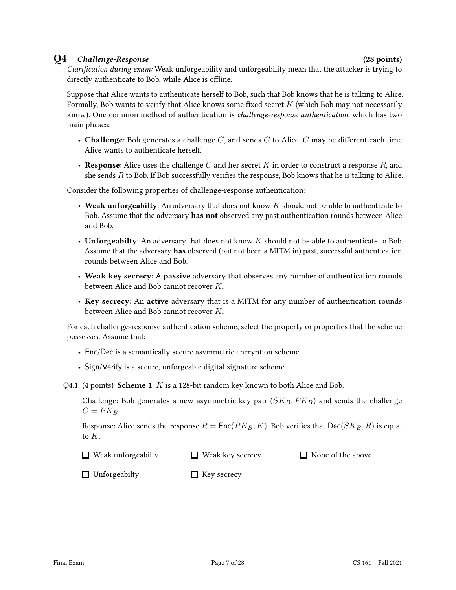### Q4 Challenge-Response (28 points)

Clarification during exam: Weak unforgeability and unforgeability mean that the attacker is trying to directly authenticate to Bob, while Alice is offline.

Suppose that Alice wants to authenticate herself to Bob, such that Bob knows that he is talking to Alice. Formally, Bob wants to verify that Alice knows some fixed secret  $K$  (which Bob may not necessarily know). One common method of authentication is challenge-response authentication, which has two main phases:

- Challenge: Bob generates a challenge  $C$ , and sends  $C$  to Alice.  $C$  may be different each time Alice wants to authenticate herself.
- Response: Alice uses the challenge C and her secret K in order to construct a response R, and she sends  $R$  to Bob. If Bob successfully verifies the response, Bob knows that he is talking to Alice.

Consider the following properties of challenge-response authentication:

- Weak unforgeabilty: An adversary that does not know  $K$  should not be able to authenticate to Bob. Assume that the adversary has not observed any past authentication rounds between Alice and Bob.
- Unforgeabilty: An adversary that does not know  $K$  should not be able to authenticate to Bob. Assume that the adversary has observed (but not been a MITM in) past, successful authentication rounds between Alice and Bob.
- Weak key secrecy: A passive adversary that observes any number of authentication rounds between Alice and Bob cannot recover K.
- Key secrecy: An active adversary that is a MITM for any number of authentication rounds between Alice and Bob cannot recover K.

For each challenge-response authentication scheme, select the property or properties that the scheme possesses. Assume that:

- Enc/Dec is a semantically secure asymmetric encryption scheme.
- Sign/Verify is a secure, unforgeable digital signature scheme.

Q4.1 (4 points) **Scheme 1**:  $K$  is a 128-bit random key known to both Alice and Bob.

Challenge: Bob generates a new asymmetric key pair  $(SK_B, PK_B)$  and sends the challenge  $C = PKB$ .

Response: Alice sends the response  $R = \text{Enc}(PK_B, K)$ . Bob verifies that  $\text{Dec}(SK_B, R)$  is equal to  $K<sub>1</sub>$ 

| $\Box$ Weak unforgeabilty | $\Box$ Weak key secrecy | □ None of the above |
|---------------------------|-------------------------|---------------------|
|---------------------------|-------------------------|---------------------|

□ Unforgeabilty  $\Box$  Key secrecy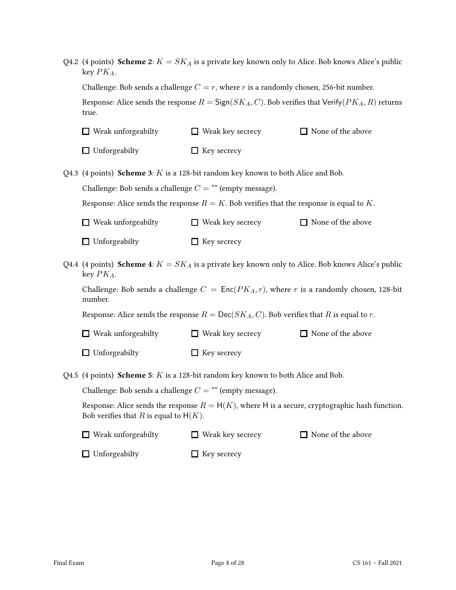| Q4.2 (4 points) Scheme 2: $K = SK_A$ is a private key known only to Alice. Bob knows Alice's public<br>key $PK_A$ .                           |                                                                                                     |                          |  |
|-----------------------------------------------------------------------------------------------------------------------------------------------|-----------------------------------------------------------------------------------------------------|--------------------------|--|
| Challenge: Bob sends a challenge $C = r$ , where r is a randomly chosen, 256-bit number.                                                      |                                                                                                     |                          |  |
| Response: Alice sends the response $R = \text{Sign}(SK_A, C)$ . Bob verifies that Verify( $PK_A, R$ ) returns<br>true.                        |                                                                                                     |                          |  |
| $\Box$ Weak unforgeabilty                                                                                                                     | $\Box$ Weak key secrecy                                                                             | □ None of the above      |  |
| $\Box$ Unforgeabilty                                                                                                                          | $\Box$ Key secrecy                                                                                  |                          |  |
|                                                                                                                                               | Q4.3 (4 points) Scheme 3: $K$ is a 128-bit random key known to both Alice and Bob.                  |                          |  |
| Challenge: Bob sends a challenge $C =$ "" (empty message).                                                                                    |                                                                                                     |                          |  |
|                                                                                                                                               | Response: Alice sends the response $R = K$ . Bob verifies that the response is equal to K.          |                          |  |
| $\Box$ Weak unforgeabilty                                                                                                                     | $\Box$ Weak key secrecy                                                                             | $\Box$ None of the above |  |
| $\Box$ Unforgeabilty                                                                                                                          | $\Box$ Key secrecy                                                                                  |                          |  |
| key $PK_A$ .                                                                                                                                  | Q4.4 (4 points) Scheme 4: $K = SK_A$ is a private key known only to Alice. Bob knows Alice's public |                          |  |
| Challenge: Bob sends a challenge $C = \text{Enc}(PK_A, r)$ , where r is a randomly chosen, 128-bit<br>number.                                 |                                                                                                     |                          |  |
| Response: Alice sends the response $R = \text{Dec}(SK_A, C)$ . Bob verifies that R is equal to r.                                             |                                                                                                     |                          |  |
| $\Box$ Weak unforgeabilty                                                                                                                     | $\Box$ Weak key secrecy                                                                             | □ None of the above      |  |
| $\Box$ Unforgeabilty                                                                                                                          | $\Box$ Key secrecy                                                                                  |                          |  |
| Q4.5 (4 points) Scheme 5: $K$ is a 128-bit random key known to both Alice and Bob.                                                            |                                                                                                     |                          |  |
| Challenge: Bob sends a challenge $C =$ "" (empty message).                                                                                    |                                                                                                     |                          |  |
| Response: Alice sends the response $R = H(K)$ , where H is a secure, cryptographic hash function.<br>Bob verifies that R is equal to $H(K)$ . |                                                                                                     |                          |  |
| Weak unforgeabilty                                                                                                                            | $\Box$ Weak key secrecy                                                                             | $\Box$ None of the above |  |
| Unforgeabilty<br>ப                                                                                                                            | Key secrecy                                                                                         |                          |  |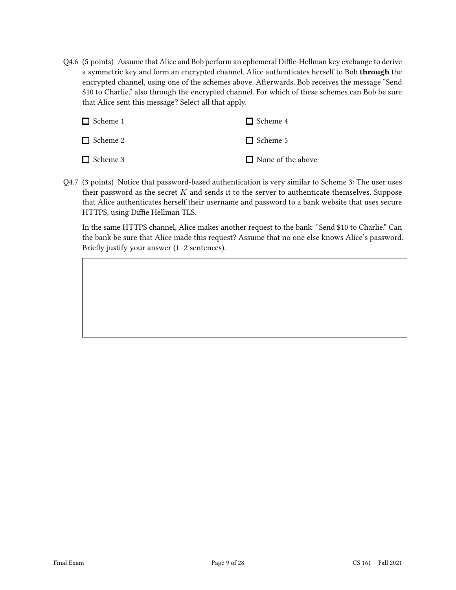Q4.6 (5 points) Assume that Alice and Bob perform an ephemeral Diffie-Hellman key exchange to derive a symmetric key and form an encrypted channel. Alice authenticates herself to Bob through the encrypted channel, using one of the schemes above. Afterwards, Bob receives the message "Send \$10 to Charlie," also through the encrypted channel. For which of these schemes can Bob be sure that Alice sent this message? Select all that apply.

| $\Box$ Scheme 1 | $\Box$ Scheme 4          |
|-----------------|--------------------------|
| $\Box$ Scheme 2 | $\Box$ Scheme 5          |
| $\Box$ Scheme 3 | $\Box$ None of the above |

Q4.7 (3 points) Notice that password-based authentication is very similar to Scheme 3: The user uses their password as the secret  $K$  and sends it to the server to authenticate themselves. Suppose that Alice authenticates herself their username and password to a bank website that uses secure HTTPS, using Diffie Hellman TLS.

In the same HTTPS channel, Alice makes another request to the bank: "Send \$10 to Charlie." Can the bank be sure that Alice made this request? Assume that no one else knows Alice's password. Briefly justify your answer (1–2 sentences).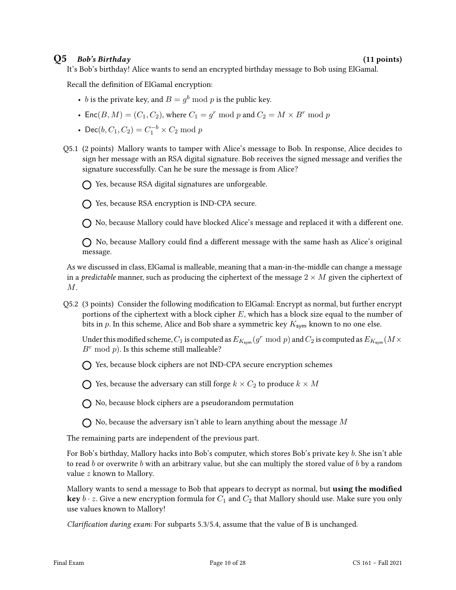### $Q5$  Bob's Birthday (11 points)

It's Bob's birthday! Alice wants to send an encrypted birthday message to Bob using ElGamal.

Recall the definition of ElGamal encryption:

- *b* is the private key, and  $B = g^b \bmod p$  is the public key.
- Enc $(B, M) = (C_1, C_2)$ , where  $C_1 = g^r \mod p$  and  $C_2 = M \times B^r \mod p$
- Dec( $b, C_1, C_2$ ) =  $C_1^{-b} \times C_2$  mod p
- Q5.1 (2 points) Mallory wants to tamper with Alice's message to Bob. In response, Alice decides to sign her message with an RSA digital signature. Bob receives the signed message and verifies the signature successfully. Can he be sure the message is from Alice?

 $\bigcap$  Yes, because RSA digital signatures are unforgeable.

 $\bigcap$  Yes, because RSA encryption is IND-CPA secure.

No, because Mallory could have blocked Alice's message and replaced it with a different one.

 $\bigcap$  No, because Mallory could find a different message with the same hash as Alice's original message.

As we discussed in class, ElGamal is malleable, meaning that a man-in-the-middle can change a message in a *predictable* manner, such as producing the ciphertext of the message  $2 \times M$  given the ciphertext of  $M$ .

Q5.2 (3 points) Consider the following modification to ElGamal: Encrypt as normal, but further encrypt portions of the ciphertext with a block cipher  $E$ , which has a block size equal to the number of bits in p. In this scheme, Alice and Bob share a symmetric key  $K_{sym}$  known to no one else.

Under this modified scheme,  $C_1$  is computed as  $E_{K_{\text{sym}}}(g^r \bmod p)$  and  $C_2$  is computed as  $E_{K_{\text{sym}}}(M \times p)$  $B^r$  mod p). Is this scheme still malleable?

Yes, because block ciphers are not IND-CPA secure encryption schemes

 $\bigcap$  Yes, because the adversary can still forge  $k \times C_2$  to produce  $k \times M$ 

 $\bigcap$  No, because block ciphers are a pseudorandom permutation

 $\bigcap$  No, because the adversary isn't able to learn anything about the message M

The remaining parts are independent of the previous part.

For Bob's birthday, Mallory hacks into Bob's computer, which stores Bob's private key b. She isn't able to read b or overwrite b with an arbitrary value, but she can multiply the stored value of b by a random value z known to Mallory.

Mallory wants to send a message to Bob that appears to decrypt as normal, but **using the modified key**  $b \cdot z$ . Give a new encryption formula for  $C_1$  and  $C_2$  that Mallory should use. Make sure you only use values known to Mallory!

Clarification during exam: For subparts 5.3/5.4, assume that the value of B is unchanged.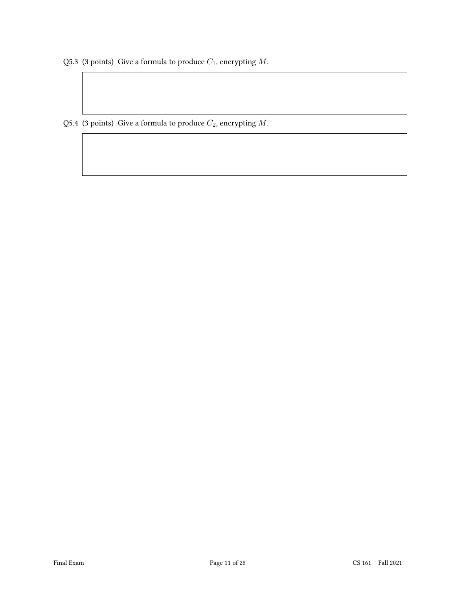Q5.3 (3 points) Give a formula to produce  $C_1$ , encrypting  $M$ .

Q5.4 (3 points) Give a formula to produce  $C_2$ , encrypting  $M$ .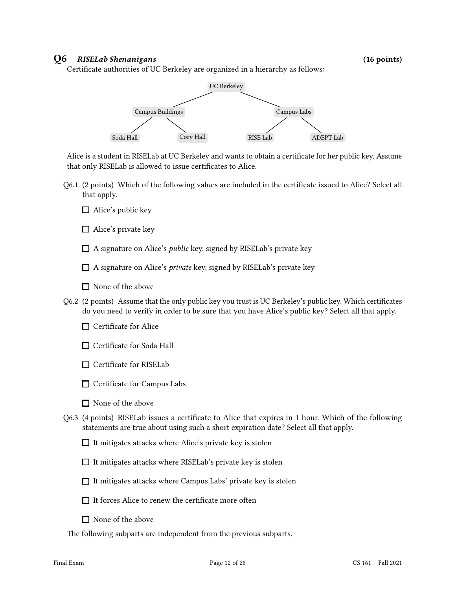### Q6 RISELab Shenanigans (16 points)

Certificate authorities of UC Berkeley are organized in a hierarchy as follows:



Alice is a student in RISELab at UC Berkeley and wants to obtain a certificate for her public key. Assume that only RISELab is allowed to issue certificates to Alice.

- Q6.1 (2 points) Which of the following values are included in the certificate issued to Alice? Select all that apply.
	- $\Box$  Alice's public key
	- □ Alice's private key
	- $\Box$  A signature on Alice's *public* key, signed by RISELab's private key
	- $\Box$  A signature on Alice's *private* key, signed by RISELab's private key
	- None of the above
- Q6.2 (2 points) Assume that the only public key you trust is UC Berkeley's public key. Which certificates do you need to verify in order to be sure that you have Alice's public key? Select all that apply.
	- $\Box$  Certificate for Alice
	- □ Certificate for Soda Hall
	- $\Box$  Certificate for RISELab
	- $\Box$  Certificate for Campus Labs
	- $\Box$  None of the above
- Q6.3 (4 points) RISELab issues a certificate to Alice that expires in 1 hour. Which of the following statements are true about using such a short expiration date? Select all that apply.
	- $\Box$  It mitigates attacks where Alice's private key is stolen
	- $\Box$  It mitigates attacks where RISELab's private key is stolen
	- $\Box$  It mitigates attacks where Campus Labs' private key is stolen
	- $\Box$  It forces Alice to renew the certificate more often
	- None of the above
- The following subparts are independent from the previous subparts.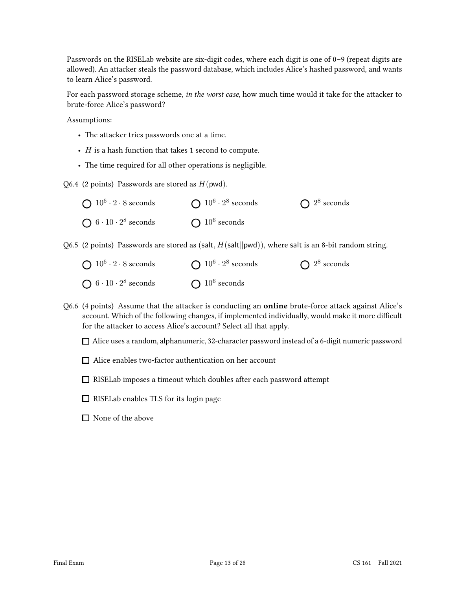Passwords on the RISELab website are six-digit codes, where each digit is one of 0–9 (repeat digits are allowed). An attacker steals the password database, which includes Alice's hashed password, and wants to learn Alice's password.

For each password storage scheme, in the worst case, how much time would it take for the attacker to brute-force Alice's password?

Assumptions:

- The attacker tries passwords one at a time.
- $\bullet$  *H* is a hash function that takes 1 second to compute.
- The time required for all other operations is negligible.

Q6.4 (2 points) Passwords are stored as  $H(pwd)$ .

| $\bigcap 10^6 \cdot 2 \cdot 8$ seconds | $\bigcap 10^6 \cdot 2^8$ seconds | $\bigcap 2^8$ seconds |
|----------------------------------------|----------------------------------|-----------------------|
| $\bigcap 6 \cdot 10 \cdot 2^8$ seconds | $\bigcap 10^6$ seconds           |                       |

Q6.5 (2 points) Passwords are stored as (salt,  $H(\text{salt}||\text{pwd})$ ), where salt is an 8-bit random string.

| $\bigcap 10^6 \cdot 2 \cdot 8$ seconds | $\bigcap 10^6 \cdot 2^8$ seconds | $\bigcap 2^8$ seconds |
|----------------------------------------|----------------------------------|-----------------------|
| $\bigcap 6 \cdot 10 \cdot 2^8$ seconds | $\bigcap 10^6$ seconds           |                       |

Q6.6 (4 points) Assume that the attacker is conducting an online brute-force attack against Alice's account. Which of the following changes, if implemented individually, would make it more difficult for the attacker to access Alice's account? Select all that apply.

Alice uses a random, alphanumeric, 32-character password instead of a 6-digit numeric password

- □ Alice enables two-factor authentication on her account
- RISELab imposes a timeout which doubles after each password attempt
- $\Box$  RISELab enables TLS for its login page
- □ None of the above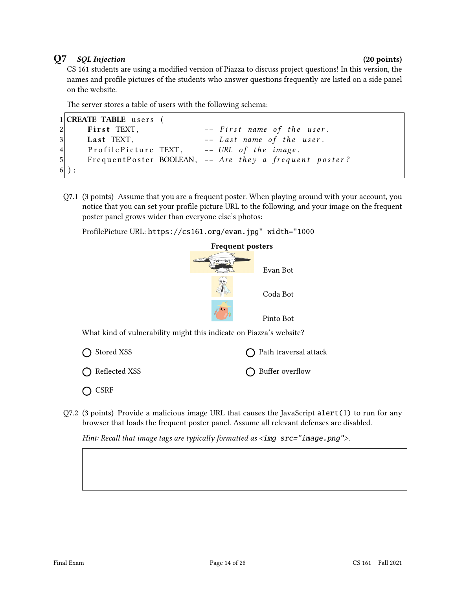### Q7 SQL Injection (20 points)

CS 161 students are using a modified version of Piazza to discuss project questions! In this version, the names and profile pictures of the students who answer questions frequently are listed on a side panel on the website.

The server stores a table of users with the following schema:

```
1 CREATE TABLE users (
2 First TEXT, - First name of the user.
3 Last TEXT, - Last name of the user.
4 Profile Picture TEXT, -- URL of the image.
5 Frequent Poster BOOLEAN, -- Are they a frequent poster?
6 ) ;
```
Q7.1 (3 points) Assume that you are a frequent poster. When playing around with your account, you notice that you can set your profile picture URL to the following, and your image on the frequent poster panel grows wider than everyone else's photos:

ProfilePicture URL: https://cs161.org/evan.jpg" width="1000



What kind of vulnerability might this indicate on Piazza's website?



 $Q7.2$  (3 points) Provide a malicious image URL that causes the JavaScript alert(1) to run for any browser that loads the frequent poster panel. Assume all relevant defenses are disabled.

Hint: Recall that image tags are typically formatted as <img src="image.png">.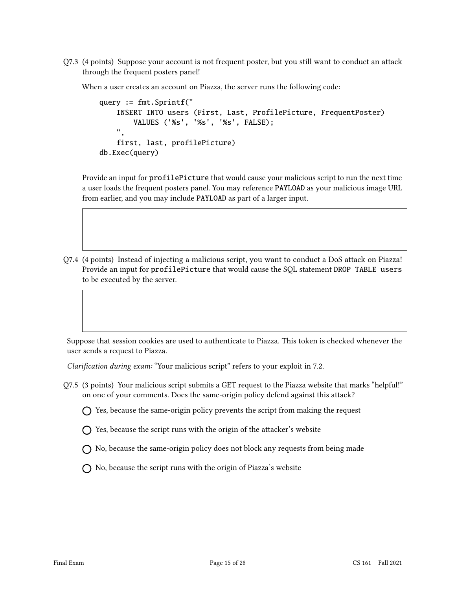Q7.3 (4 points) Suppose your account is not frequent poster, but you still want to conduct an attack through the frequent posters panel!

When a user creates an account on Piazza, the server runs the following code:

```
query := fmt.Sprintf("
    INSERT INTO users (First, Last, ProfilePicture, FrequentPoster)
        VALUES ('%s', '%s', '%s', FALSE);
    ",
    first, last, profilePicture)
db.Exec(query)
```
Provide an input for profilePicture that would cause your malicious script to run the next time a user loads the frequent posters panel. You may reference PAYLOAD as your malicious image URL from earlier, and you may include PAYLOAD as part of a larger input.

Q7.4 (4 points) Instead of injecting a malicious script, you want to conduct a DoS attack on Piazza! Provide an input for profilePicture that would cause the SQL statement DROP TABLE users to be executed by the server.

Suppose that session cookies are used to authenticate to Piazza. This token is checked whenever the user sends a request to Piazza.

Clarification during exam: "Your malicious script" refers to your exploit in 7.2.

Q7.5 (3 points) Your malicious script submits a GET request to the Piazza website that marks "helpful!" on one of your comments. Does the same-origin policy defend against this attack?

 $\bigcap$  Yes, because the same-origin policy prevents the script from making the request

- $\bigcap$  Yes, because the script runs with the origin of the attacker's website
- $\bigcap$  No, because the same-origin policy does not block any requests from being made
- $\bigcap$  No, because the script runs with the origin of Piazza's website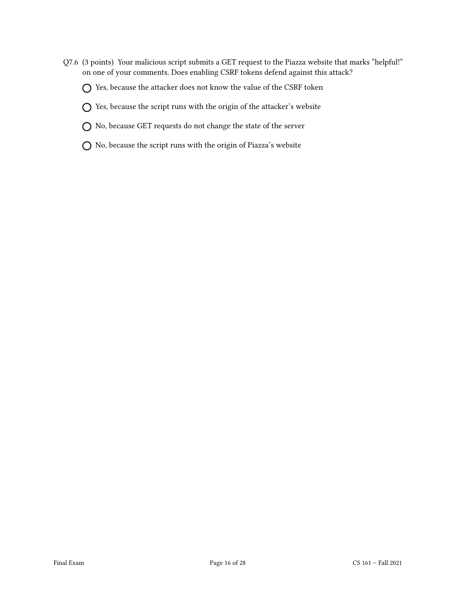- Q7.6 (3 points) Your malicious script submits a GET request to the Piazza website that marks "helpful!" on one of your comments. Does enabling CSRF tokens defend against this attack?
	- $\bigcap$  Yes, because the attacker does not know the value of the CSRF token
	- $\bigcap$  Yes, because the script runs with the origin of the attacker's website
	- No, because GET requests do not change the state of the server
	- $\bigcirc$  No, because the script runs with the origin of Piazza's website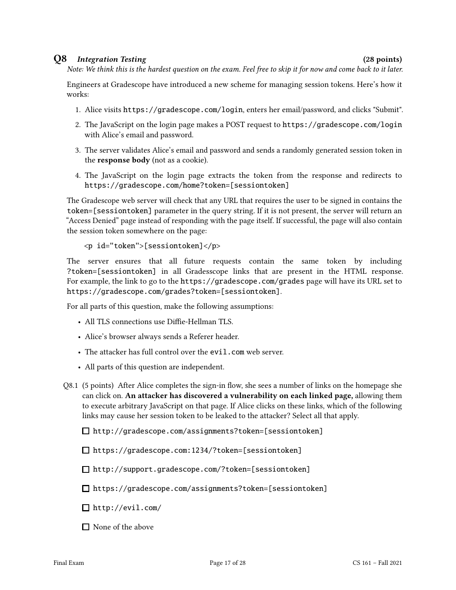### Q8 Integration Testing (28 points)

Note: We think this is the hardest question on the exam. Feel free to skip it for now and come back to it later.

Engineers at Gradescope have introduced a new scheme for managing session tokens. Here's how it works:

- 1. Alice visits https://gradescope.com/login, enters her email/password, and clicks "Submit".
- 2. The JavaScript on the login page makes a POST request to https://gradescope.com/login with Alice's email and password.
- 3. The server validates Alice's email and password and sends a randomly generated session token in the response body (not as a cookie).
- 4. The JavaScript on the login page extracts the token from the response and redirects to https://gradescope.com/home?token=[sessiontoken]

The Gradescope web server will check that any URL that requires the user to be signed in contains the token=[sessiontoken] parameter in the query string. If it is not present, the server will return an "Access Denied" page instead of responding with the page itself. If successful, the page will also contain the session token somewhere on the page:

```
<p id="token">[sessiontoken]</p>
```
The server ensures that all future requests contain the same token by including ?token=[sessiontoken] in all Gradesscope links that are present in the HTML response. For example, the link to go to the https://gradescope.com/grades page will have its URL set to https://gradescope.com/grades?token=[sessiontoken].

For all parts of this question, make the following assumptions:

- All TLS connections use Diffie-Hellman TLS.
- Alice's browser always sends a Referer header.
- The attacker has full control over the evil.com web server.
- All parts of this question are independent.
- Q8.1 (5 points) After Alice completes the sign-in flow, she sees a number of links on the homepage she can click on. An attacker has discovered a vulnerability on each linked page, allowing them to execute arbitrary JavaScript on that page. If Alice clicks on these links, which of the following links may cause her session token to be leaked to the attacker? Select all that apply.

http://gradescope.com/assignments?token=[sessiontoken]

https://gradescope.com:1234/?token=[sessiontoken]

http://support.gradescope.com/?token=[sessiontoken]

https://gradescope.com/assignments?token=[sessiontoken]

http://evil.com/

 $\Box$  None of the above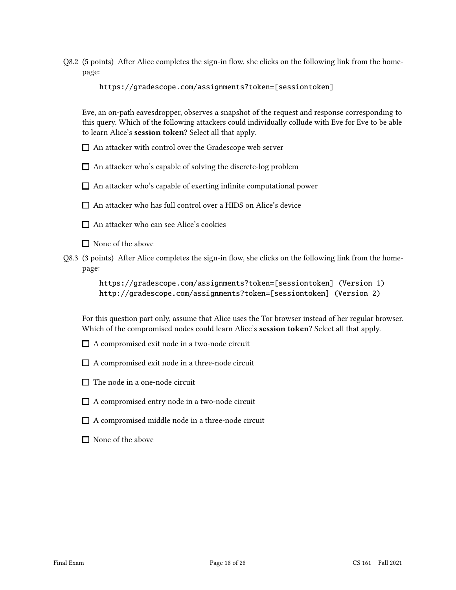Q8.2 (5 points) After Alice completes the sign-in flow, she clicks on the following link from the homepage:

https://gradescope.com/assignments?token=[sessiontoken]

Eve, an on-path eavesdropper, observes a snapshot of the request and response corresponding to this query. Which of the following attackers could individually collude with Eve for Eve to be able to learn Alice's session token? Select all that apply.

- An attacker with control over the Gradescope web server
- $\Box$  An attacker who's capable of solving the discrete-log problem
- $\Box$  An attacker who's capable of exerting infinite computational power

An attacker who has full control over a HIDS on Alice's device

- An attacker who can see Alice's cookies
- □ None of the above
- Q8.3 (3 points) After Alice completes the sign-in flow, she clicks on the following link from the homepage:

https://gradescope.com/assignments?token=[sessiontoken] (Version 1) http://gradescope.com/assignments?token=[sessiontoken] (Version 2)

For this question part only, assume that Alice uses the Tor browser instead of her regular browser. Which of the compromised nodes could learn Alice's session token? Select all that apply.

- A compromised exit node in a two-node circuit
- $\Box$  A compromised exit node in a three-node circuit
- $\Box$  The node in a one-node circuit
- A compromised entry node in a two-node circuit
- $\Box$  A compromised middle node in a three-node circuit
- $\Box$  None of the above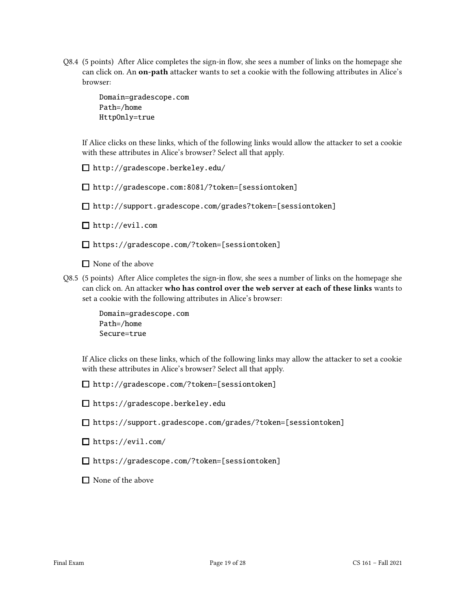Q8.4 (5 points) After Alice completes the sign-in flow, she sees a number of links on the homepage she can click on. An on-path attacker wants to set a cookie with the following attributes in Alice's browser:

> Domain=gradescope.com Path=/home HttpOnly=true

If Alice clicks on these links, which of the following links would allow the attacker to set a cookie with these attributes in Alice's browser? Select all that apply.

http://gradescope.berkeley.edu/

http://gradescope.com:8081/?token=[sessiontoken]

http://support.gradescope.com/grades?token=[sessiontoken]

http://evil.com

https://gradescope.com/?token=[sessiontoken]

 $\Box$  None of the above

Q8.5 (5 points) After Alice completes the sign-in flow, she sees a number of links on the homepage she can click on. An attacker who has control over the web server at each of these links wants to set a cookie with the following attributes in Alice's browser:

> Domain=gradescope.com Path=/home Secure=true

If Alice clicks on these links, which of the following links may allow the attacker to set a cookie with these attributes in Alice's browser? Select all that apply.

http://gradescope.com/?token=[sessiontoken]

https://gradescope.berkeley.edu

https://support.gradescope.com/grades/?token=[sessiontoken]

https://evil.com/

https://gradescope.com/?token=[sessiontoken]

 $\Box$  None of the above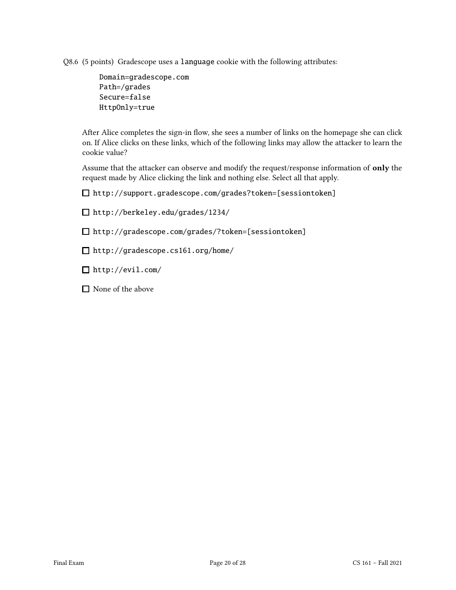Q8.6 (5 points) Gradescope uses a language cookie with the following attributes:

Domain=gradescope.com Path=/grades Secure=false HttpOnly=true

After Alice completes the sign-in flow, she sees a number of links on the homepage she can click on. If Alice clicks on these links, which of the following links may allow the attacker to learn the cookie value?

Assume that the attacker can observe and modify the request/response information of only the request made by Alice clicking the link and nothing else. Select all that apply.

http://support.gradescope.com/grades?token=[sessiontoken]

http://berkeley.edu/grades/1234/

http://gradescope.com/grades/?token=[sessiontoken]

http://gradescope.cs161.org/home/

http://evil.com/

 $\Box$  None of the above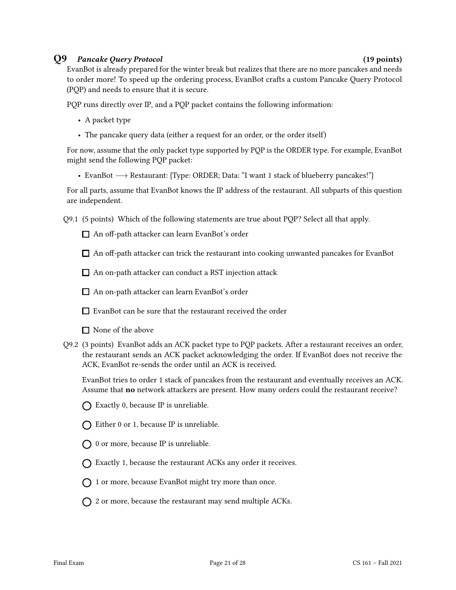### Q9 Pancake Query Protocol (19 points)

EvanBot is already prepared for the winter break but realizes that there are no more pancakes and needs to order more! To speed up the ordering process, EvanBot crafts a custom Pancake Query Protocol (PQP) and needs to ensure that it is secure.

PQP runs directly over IP, and a PQP packet contains the following information:

- A packet type
- The pancake query data (either a request for an order, or the order itself)

For now, assume that the only packet type supported by PQP is the ORDER type. For example, EvanBot might send the following PQP packet:

• EvanBot −→ Restaurant: {Type: ORDER; Data: "I want 1 stack of blueberry pancakes!"}

For all parts, assume that EvanBot knows the IP address of the restaurant. All subparts of this question are independent.

Q9.1 (5 points) Which of the following statements are true about PQP? Select all that apply.

□ An off-path attacker can learn EvanBot's order

 $\Box$  An off-path attacker can trick the restaurant into cooking unwanted pancakes for EvanBot

 $\Box$  An on-path attacker can conduct a RST injection attack

□ An on-path attacker can learn EvanBot's order

EvanBot can be sure that the restaurant received the order

■ None of the above

Q9.2 (3 points) EvanBot adds an ACK packet type to PQP packets. After a restaurant receives an order, the restaurant sends an ACK packet acknowledging the order. If EvanBot does not receive the ACK, EvanBot re-sends the order until an ACK is received.

EvanBot tries to order 1 stack of pancakes from the restaurant and eventually receives an ACK. Assume that no network attackers are present. How many orders could the restaurant receive?

- $\bigcap$  Exactly 0, because IP is unreliable.
- $\bigcap$  Either 0 or 1, because IP is unreliable.
- $\bigcap$  0 or more, because IP is unreliable.
- $\bigcap$  Exactly 1, because the restaurant ACKs any order it receives.
- $\bigcap$  1 or more, because EvanBot might try more than once.
- $\bigcap$  2 or more, because the restaurant may send multiple ACKs.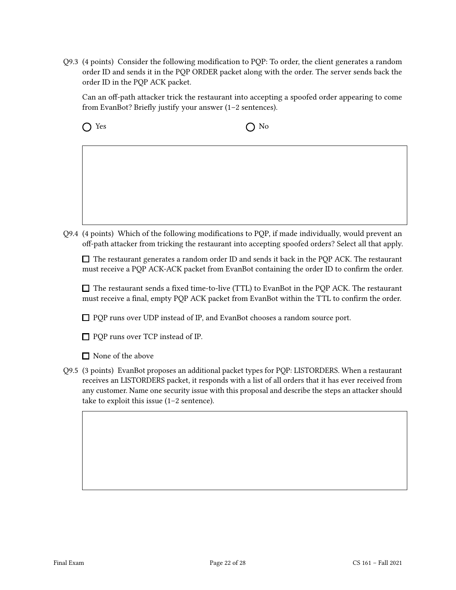Q9.3 (4 points) Consider the following modification to PQP: To order, the client generates a random order ID and sends it in the PQP ORDER packet along with the order. The server sends back the order ID in the PQP ACK packet.

Can an off-path attacker trick the restaurant into accepting a spoofed order appearing to come from EvanBot? Briefly justify your answer (1–2 sentences).

 $\bigcap$  Yes  $\bigcap$  No

Q9.4 (4 points) Which of the following modifications to PQP, if made individually, would prevent an off-path attacker from tricking the restaurant into accepting spoofed orders? Select all that apply.

 $\Box$  The restaurant generates a random order ID and sends it back in the POP ACK. The restaurant must receive a PQP ACK-ACK packet from EvanBot containing the order ID to confirm the order.

 $\Box$  The restaurant sends a fixed time-to-live (TTL) to EvanBot in the PQP ACK. The restaurant must receive a final, empty PQP ACK packet from EvanBot within the TTL to confirm the order.

□ PQP runs over UDP instead of IP, and EvanBot chooses a random source port.

□ POP runs over TCP instead of IP.

None of the above

Q9.5 (3 points) EvanBot proposes an additional packet types for PQP: LISTORDERS. When a restaurant receives an LISTORDERS packet, it responds with a list of all orders that it has ever received from any customer. Name one security issue with this proposal and describe the steps an attacker should take to exploit this issue (1–2 sentence).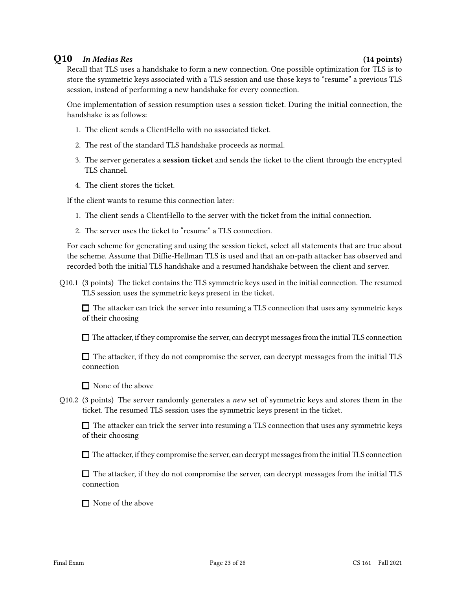### Q10 In Medias Res (14 points)

Recall that TLS uses a handshake to form a new connection. One possible optimization for TLS is to store the symmetric keys associated with a TLS session and use those keys to "resume" a previous TLS session, instead of performing a new handshake for every connection.

One implementation of session resumption uses a session ticket. During the initial connection, the handshake is as follows:

- 1. The client sends a ClientHello with no associated ticket.
- 2. The rest of the standard TLS handshake proceeds as normal.
- 3. The server generates a session ticket and sends the ticket to the client through the encrypted TLS channel.
- 4. The client stores the ticket.

If the client wants to resume this connection later:

- 1. The client sends a ClientHello to the server with the ticket from the initial connection.
- 2. The server uses the ticket to "resume" a TLS connection.

For each scheme for generating and using the session ticket, select all statements that are true about the scheme. Assume that Diffie-Hellman TLS is used and that an on-path attacker has observed and recorded both the initial TLS handshake and a resumed handshake between the client and server.

Q10.1 (3 points) The ticket contains the TLS symmetric keys used in the initial connection. The resumed TLS session uses the symmetric keys present in the ticket.

 $\Box$  The attacker can trick the server into resuming a TLS connection that uses any symmetric keys of their choosing

 $\Box$  The attacker, if they compromise the server, can decrypt messages from the initial TLS connection

 $\Box$  The attacker, if they do not compromise the server, can decrypt messages from the initial TLS connection

 $\Box$  None of the above

Q10.2 (3 points) The server randomly generates a *new* set of symmetric keys and stores them in the ticket. The resumed TLS session uses the symmetric keys present in the ticket.

 $\Box$  The attacker can trick the server into resuming a TLS connection that uses any symmetric keys of their choosing

 $\Box$  The attacker, if they compromise the server, can decrypt messages from the initial TLS connection

 $\Box$  The attacker, if they do not compromise the server, can decrypt messages from the initial TLS connection

■ None of the above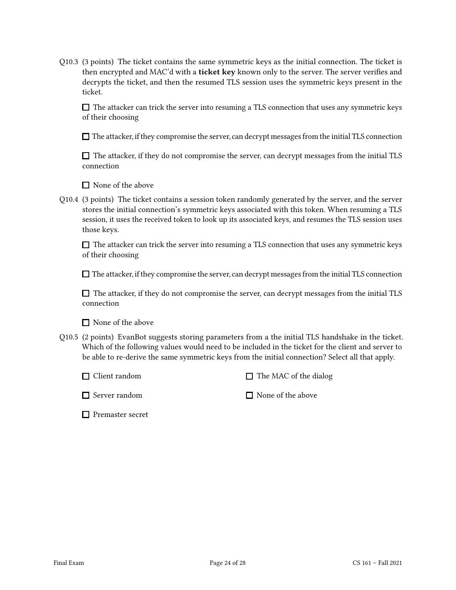Q10.3 (3 points) The ticket contains the same symmetric keys as the initial connection. The ticket is then encrypted and MAC'd with a **ticket key** known only to the server. The server verifies and decrypts the ticket, and then the resumed TLS session uses the symmetric keys present in the ticket.

 $\Box$  The attacker can trick the server into resuming a TLS connection that uses any symmetric keys of their choosing

 $\Box$  The attacker, if they compromise the server, can decrypt messages from the initial TLS connection

 $\Box$  The attacker, if they do not compromise the server, can decrypt messages from the initial TLS connection

 $\Box$  None of the above

Q10.4 (3 points) The ticket contains a session token randomly generated by the server, and the server stores the initial connection's symmetric keys associated with this token. When resuming a TLS session, it uses the received token to look up its associated keys, and resumes the TLS session uses those keys.

 $\Box$  The attacker can trick the server into resuming a TLS connection that uses any symmetric keys of their choosing

 $\Box$  The attacker, if they compromise the server, can decrypt messages from the initial TLS connection

 $\Box$  The attacker, if they do not compromise the server, can decrypt messages from the initial TLS connection

 $\Box$  None of the above

Q10.5 (2 points) EvanBot suggests storing parameters from a the initial TLS handshake in the ticket. Which of the following values would need to be included in the ticket for the client and server to be able to re-derive the same symmetric keys from the initial connection? Select all that apply.

 $\Box$  The MAC of the dialog

 $\Box$  Server random

 $\Box$  None of the above

**Premaster secret**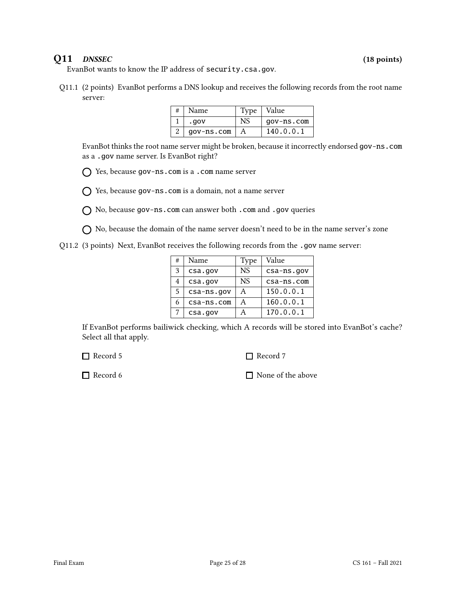### Q11 DNSSEC (18 points)

EvanBot wants to know the IP address of security.csa.gov.

Q11.1 (2 points) EvanBot performs a DNS lookup and receives the following records from the root name server:

| Name       |              | Type   Value |
|------------|--------------|--------------|
| .gov       | NS           | gov-ns.com   |
| gov-ns.com | $\mathsf{A}$ | 140.0.0.1    |

EvanBot thinks the root name server might be broken, because it incorrectly endorsed gov-ns.com as a .gov name server. Is EvanBot right?

Yes, because gov-ns.com is a .com name server

Yes, because gov-ns.com is a domain, not a name server

 $\bigcap$  No, because gov-ns.com can answer both .com and .gov queries

 $\bigcap$  No, because the domain of the name server doesn't need to be in the name server's zone

Q11.2 (3 points) Next, EvanBot receives the following records from the .gov name server:

| # | Name       | Type      | Value      |
|---|------------|-----------|------------|
| 3 | csa.gov    | <b>NS</b> | csa-ns.gov |
| 4 | csa.gov    | <b>NS</b> | csa-ns.com |
| 5 | csa-ns.gov | Α         | 150.0.0.1  |
| 6 | csa-ns.com | Α         | 160.0.0.1  |
|   | csa.gov    |           | 170.0.0.1  |

If EvanBot performs bailiwick checking, which A records will be stored into EvanBot's cache? Select all that apply.

□ Record 5

□ Record 7

□ Record 6

■ None of the above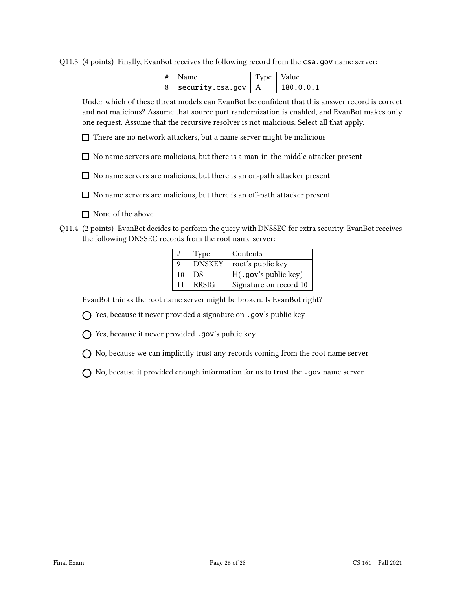Q11.3 (4 points) Finally, EvanBot receives the following record from the csa.gov name server:

| $ # $ Name                   | Type   Value |           |
|------------------------------|--------------|-----------|
| $ 8 $ security.csa.gov $ A $ |              | 180.0.0.1 |

Under which of these threat models can EvanBot be confident that this answer record is correct and not malicious? Assume that source port randomization is enabled, and EvanBot makes only one request. Assume that the recursive resolver is not malicious. Select all that apply.

 $\Box$  There are no network attackers, but a name server might be malicious

 $\Box$  No name servers are malicious, but there is a man-in-the-middle attacker present

No name servers are malicious, but there is an on-path attacker present

 $\Box$  No name servers are malicious, but there is an off-path attacker present

- $\Box$  None of the above
- Q11.4 (2 points) EvanBot decides to perform the query with DNSSEC for extra security. EvanBot receives the following DNSSEC records from the root name server:

| #  | Type          | Contents                 |
|----|---------------|--------------------------|
| Q  | <b>DNSKEY</b> | root's public key        |
| 10 | DS.           | $H($ . gov's public key) |
| 11 | <b>RRSIG</b>  | Signature on record 10   |

EvanBot thinks the root name server might be broken. Is EvanBot right?

Yes, because it never provided a signature on .gov's public key

 $\bigcap$  Yes, because it never provided .gov's public key

 $\bigcap$  No, because we can implicitly trust any records coming from the root name server

 $\bigcap$  No, because it provided enough information for us to trust the .gov name server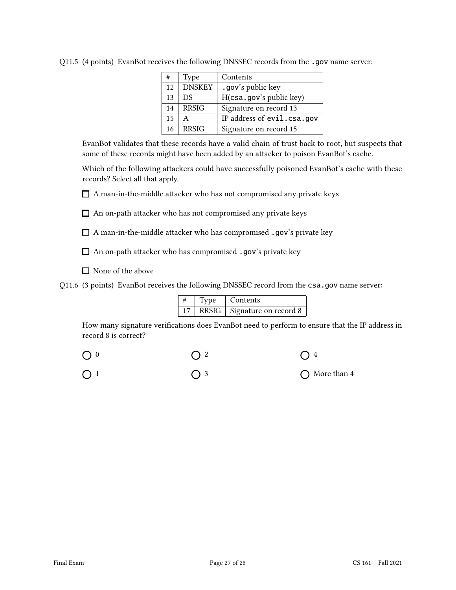| #  | Type          | Contents                   |
|----|---------------|----------------------------|
| 12 | <b>DNSKEY</b> | .gov's public key          |
| 13 | DS            | H(csa.gov's public key)    |
| 14 | <b>RRSIG</b>  | Signature on record 13     |
| 15 |               | IP address of evil.csa.gov |
| 16 | <b>RRSIG</b>  | Signature on record 15     |

Q11.5 (4 points) EvanBot receives the following DNSSEC records from the .gov name server:

EvanBot validates that these records have a valid chain of trust back to root, but suspects that some of these records might have been added by an attacker to poison EvanBot's cache.

Which of the following attackers could have successfully poisoned EvanBot's cache with these records? Select all that apply.

 $\Box$  A man-in-the-middle attacker who has not compromised any private keys

 $\Box$  An on-path attacker who has not compromised any private keys

 $\Box$  A man-in-the-middle attacker who has compromised .gov's private key

An on-path attacker who has compromised .gov's private key

 $\hfill\Box$  None of the above

Q11.6 (3 points) EvanBot receives the following DNSSEC record from the csa.gov name server:

| Type | Contents                      |
|------|-------------------------------|
|      | RRSIG   Signature on record 8 |

How many signature verifications does EvanBot need to perform to ensure that the IP address in record 8 is correct?

| $\bigcirc$ 0 |             |               |
|--------------|-------------|---------------|
| $\bigcap$ 1  | $\bigcap$ 3 | ◯ More than 4 |